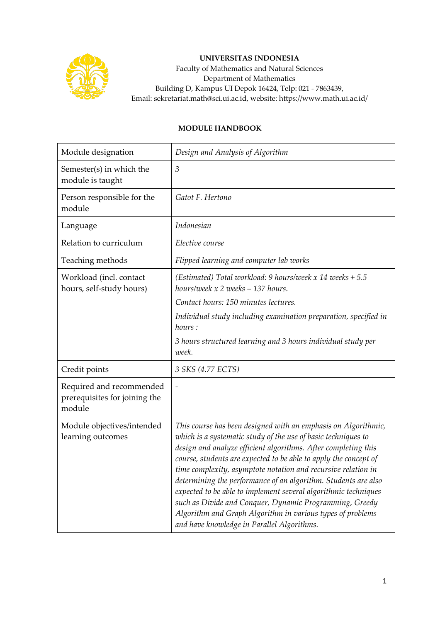

## **UNIVERSITAS INDONESIA**

Faculty of Mathematics and Natural Sciences Department of Mathematics Building D, Kampus UI Depok 16424, Telp: 021 - 7863439, Email: sekretariat.math@sci.ui.ac.id, website: https://www.math.ui.ac.id/

## **MODULE HANDBOOK**

| Module designation                                                  | Design and Analysis of Algorithm                                                                                                                                                                                                                                                                                                                                                                                                                                                                                                                                                                                                                   |
|---------------------------------------------------------------------|----------------------------------------------------------------------------------------------------------------------------------------------------------------------------------------------------------------------------------------------------------------------------------------------------------------------------------------------------------------------------------------------------------------------------------------------------------------------------------------------------------------------------------------------------------------------------------------------------------------------------------------------------|
| Semester(s) in which the<br>module is taught                        | 3                                                                                                                                                                                                                                                                                                                                                                                                                                                                                                                                                                                                                                                  |
| Person responsible for the<br>module                                | Gatot F. Hertono                                                                                                                                                                                                                                                                                                                                                                                                                                                                                                                                                                                                                                   |
| Language                                                            | Indonesian                                                                                                                                                                                                                                                                                                                                                                                                                                                                                                                                                                                                                                         |
| Relation to curriculum                                              | Elective course                                                                                                                                                                                                                                                                                                                                                                                                                                                                                                                                                                                                                                    |
| Teaching methods                                                    | Flipped learning and computer lab works                                                                                                                                                                                                                                                                                                                                                                                                                                                                                                                                                                                                            |
| Workload (incl. contact<br>hours, self-study hours)                 | (Estimated) Total workload: 9 hours/week x 14 weeks $+ 5.5$<br>hours/week $x$ 2 weeks = 137 hours.                                                                                                                                                                                                                                                                                                                                                                                                                                                                                                                                                 |
|                                                                     | Contact hours: 150 minutes lectures.                                                                                                                                                                                                                                                                                                                                                                                                                                                                                                                                                                                                               |
|                                                                     | Individual study including examination preparation, specified in<br>hours:                                                                                                                                                                                                                                                                                                                                                                                                                                                                                                                                                                         |
|                                                                     | 3 hours structured learning and 3 hours individual study per<br>week.                                                                                                                                                                                                                                                                                                                                                                                                                                                                                                                                                                              |
| Credit points                                                       | 3 SKS (4.77 ECTS)                                                                                                                                                                                                                                                                                                                                                                                                                                                                                                                                                                                                                                  |
| Required and recommended<br>prerequisites for joining the<br>module |                                                                                                                                                                                                                                                                                                                                                                                                                                                                                                                                                                                                                                                    |
| Module objectives/intended<br>learning outcomes                     | This course has been designed with an emphasis on Algorithmic,<br>which is a systematic study of the use of basic techniques to<br>design and analyze efficient algorithms. After completing this<br>course, students are expected to be able to apply the concept of<br>time complexity, asymptote notation and recursive relation in<br>determining the performance of an algorithm. Students are also<br>expected to be able to implement several algorithmic techniques<br>such as Divide and Conquer, Dynamic Programming, Greedy<br>Algorithm and Graph Algorithm in various types of problems<br>and have knowledge in Parallel Algorithms. |